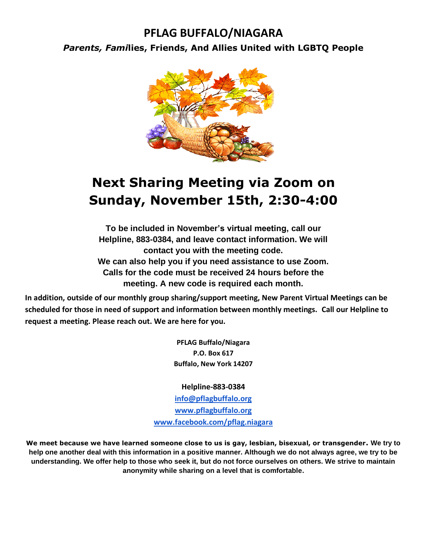### **PFLAG BUFFALO/NIAGARA**

*Parents, Fami***lies, Friends, And Allies United with LGBTQ People**



## **Next Sharing Meeting via Zoom on Sunday, November 15th, 2:30-4:00**

**To be included in November's virtual meeting, call our Helpline, 883-0384, and leave contact information. We will contact you with the meeting code. We can also help you if you need assistance to use Zoom. Calls for the code must be received 24 hours before the meeting. A new code is required each month.**

**In addition, outside of our monthly group sharing/support meeting, New Parent Virtual Meetings can be scheduled for those in need of support and information between monthly meetings. Call our Helpline to request a meeting. Please reach out. We are here for you.**

> **PFLAG Buffalo/Niagara P.O. Box 617 Buffalo, New York 14207**

**Helpline-883-0384**

**[info@pflagbuffalo.org](mailto:info@pflagbuffalo.org) [www.pflagbuffalo.org](http://www.pflagbuffalo.org/) [www.facebook.com/pflag.niagara](http://www.facebook.com/pflag.niagara)**

**We meet because we have learned someone close to us is gay, lesbian, bisexual, or transgender. We try to help one another deal with this information in a positive manner. Although we do not always agree, we try to be understanding. We offer help to those who seek it, but do not force ourselves on others. We strive to maintain anonymity while sharing on a level that is comfortable.**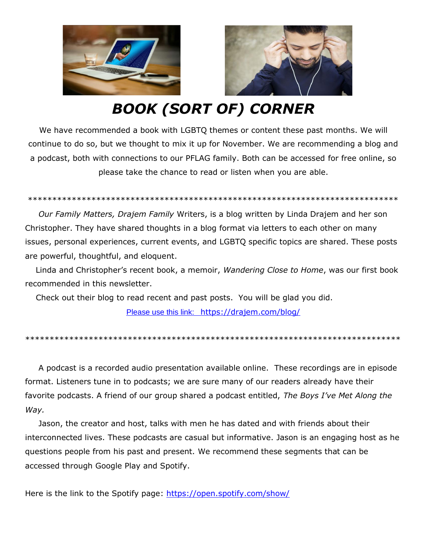

# *BOOK (SORT OF) CORNER*

We have recommended a book with LGBTQ themes or content these past months. We will continue to do so, but we thought to mix it up for November. We are recommending a blog and a podcast, both with connections to our PFLAG family. Both can be accessed for free online, so please take the chance to read or listen when you are able.

#### \*\*\*\*\*\*\*\*\*\*\*\*\*\*\*\*\*\*\*\*\*\*\*\*\*\*\*\*\*\*\*\*\*\*\*\*\*\*\*\*\*\*\*\*\*\*\*\*\*\*\*\*\*\*\*\*\*\*\*\*\*\*\*\*\*\*\*\*\*\*\*\*\*\*\*\*

 *Our Family Matters, Drajem Family* Writers, is a blog written by Linda Drajem and her son Christopher. They have shared thoughts in a blog format via letters to each other on many issues, personal experiences, current events, and LGBTQ specific topics are shared. These posts are powerful, thoughtful, and eloquent.

 Linda and Christopher's recent book, a memoir, *Wandering Close to Home*, was our first book recommended in this newsletter.

Check out their blog to read recent and past posts. You will be glad you did.

[Please use this link:](Please%20use%20this%20link:%20%20%20https:/drajem.com/blog/) [https://drajem.com/blog/](Please%20use%20this%20link:%20%20%20https:/drajem.com/blog/)

\*\*\*\*\*\*\*\*\*\*\*\*\*\*\*\*\*\*\*\*\*\*\*\*\*\*\*\*\*\*\*\*\*\*\*\*\*\*\*\*\*\*\*\*\*\*\*\*\*\*\*\*\*\*\*\*\*\*\*\*\*\*\*\*\*\*\*\*\*\*\*\*\*\*\*\*\*

 A podcast is a recorded audio presentation available online. These recordings are in episode format. Listeners tune in to podcasts; we are sure many of our readers already have their favorite podcasts. A friend of our group shared a podcast entitled, *The Boys I've Met Along the Way.*

 Jason, the creator and host, talks with men he has dated and with friends about their interconnected lives. These podcasts are casual but informative. Jason is an engaging host as he questions people from his past and present. We recommend these segments that can be accessed through Google Play and Spotify.

Here is the link to the Spotify page: <https://open.spotify.com/show/>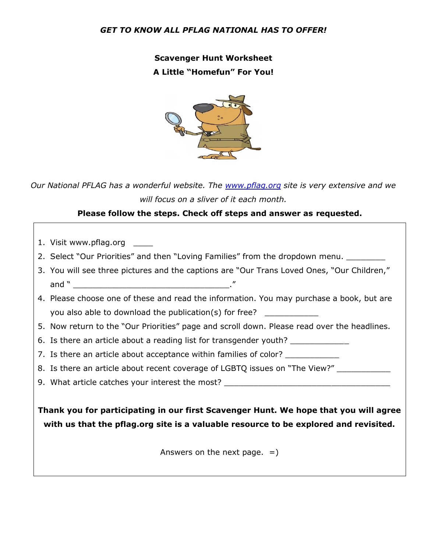### *GET TO KNOW ALL PFLAG NATIONAL HAS TO OFFER!*

**Scavenger Hunt Worksheet A Little "Homefun" For You!**



*Our National PFLAG has a wonderfu[l website](https://creativecommons.org/licenses/by-nc-nd/3.0/). The [www.pflag.org](http://www.pflag.org/) site is very extensive and we will focus on a sliver of it each month.* 

### **Please follow the steps. Check off steps and answer as requested.**

- 1. Visit www.pflag.org
- 2. Select "Our Priorities" and then "Loving Families" from the dropdown menu. \_\_\_\_\_\_\_\_
- 3. You will see three pictures and the captions are "Our Trans Loved Ones, "Our Children," and  $"$
- 4. Please choose one of these and read the information. You may purchase a book, but are you also able to download the publication(s) for free?
- 5. Now return to the "Our Priorities" page and scroll down. Please read over the headlines.
- 6. Is there an article about a reading list for transgender youth?
- 7. Is there an article about acceptance within families of color?
- 8. Is there an article about recent coverage of LGBTQ issues on "The View?"
- 9. What article catches your interest the most?

**Thank you for participating in our first Scavenger Hunt. We hope that you will agree with us that the pflag.org site is a valuable resource to be explored and revisited.**

Answers on the next page.  $=$ )